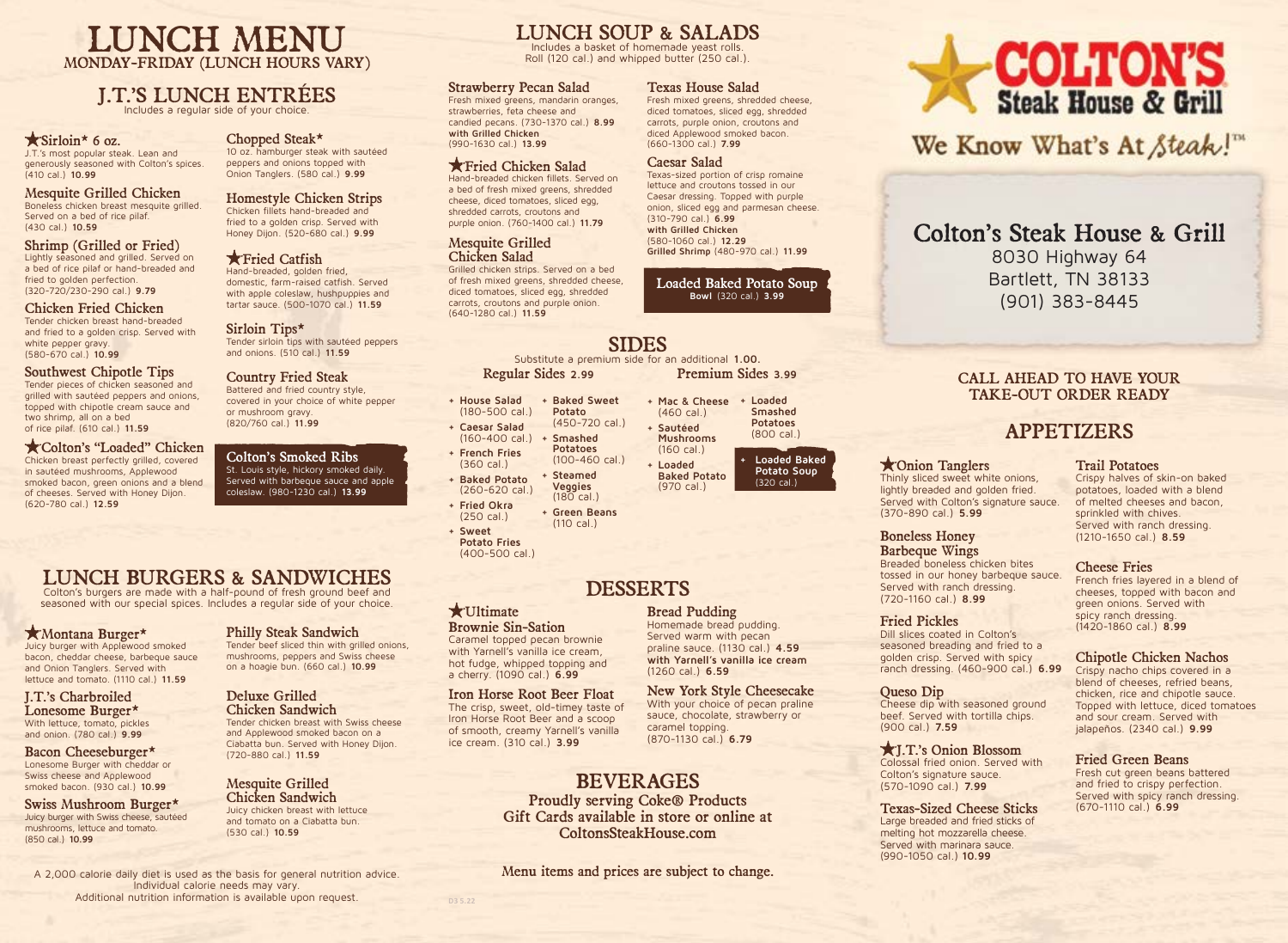## LUNCH MENU MONDAY-FRIDAY (LUNCH HOURS VARY)

## J.T.'S LUNCH ENTRÉES

Includes a regular side of your choice.

## $\star$  Sirloin\* 6 oz.

J.T.'s most popular steak. Lean and generously seasoned with Colton's spices. (410 cal.) **10.99**

#### Mesquite Grilled Chicken Boneless chicken breast mesquite grilled. Served on a bed of rice pilaf. (430 cal.) **10.59**

Shrimp (Grilled or Fried) Lightly seasoned and grilled. Served on a bed of rice pilaf or hand-breaded and fried to golden perfection. (320-720/230-290 cal.) **9.79**

## Chicken Fried Chicken

Tender chicken breast hand-breaded and fried to a golden crisp. Served with white pepper gravy. (580-670 cal.) **10.99**

#### Southwest Chipotle Tips

Tender pieces of chicken seasoned and grilled with sautéed peppers and onions, topped with chipotle cream sauce and two shrimp, all on a bed of rice pilaf. (610 cal.) **11.59**

#### Colton's "Loaded" Chicken

Chicken breast perfectly grilled, covered in sautéed mushrooms, Applewood smoked bacon, green onions and a blend of cheeses. Served with Honey Dijon. (620-780 cal.) **12.59**

## Chopped Steak\*

10 oz. hamburger steak with sautéed peppers and onions topped with Onion Tanglers. (580 cal.) **9.99**

#### Homestyle Chicken Strips Chicken fillets hand-breaded and

fried to a golden crisp. Served with Honey Dijon. (520-680 cal.) **9.99**

#### **K** Fried Catfish

Hand-breaded, golden fried, domestic, farm-raised catfish. Served with apple coleslaw, hushpuppies and tartar sauce. (500-1070 cal.) **11.59**

Sirloin Tips\* Tender sirloin tips with sautéed peppers and onions. (510 cal.) **11.59**

#### Country Fried Steak

Battered and fried country style, covered in your choice of white pepper or mushroom gravy. (820/760 cal.) **11.99**

Colton's Smoked Ribs St. Louis style, hickory smoked daily. Served with barbeque sauce and apple coleslaw. (980-1230 cal.) **13.99**

# LUNCH BURGERS & SANDWICHES

Colton's burgers are made with a half-pound of fresh ground beef and seasoned with our special spices. Includes a regular side of your choice.

#### Montana Burger\*

Juicy burger with Applewood smoked bacon, cheddar cheese, barbeque sauce and Onion Tanglers. Served with lettuce and tomato. (1110 cal.) **11.59**

#### J.T.'s Charbroiled Lonesome Burger\* With lettuce, tomato, pickles and onion. (780 cal.) **9.99**

Bacon Cheeseburger\* Lonesome Burger with cheddar or Swiss cheese and Applewood smoked bacon. (930 cal.) **10.99**

#### Swiss Mushroom Burger\* Juicy burger with Swiss cheese, sautéed mushrooms, lettuce and tomato. (850 cal.) **10.99**

Philly Steak Sandwich

Tender beef sliced thin with grilled onions, mushrooms, peppers and Swiss cheese on a hoagie bun. (660 cal.) **10.99**

## Deluxe Grilled

Chicken Sandwich Tender chicken breast with Swiss cheese and Applewood smoked bacon on a Ciabatta bun. Served with Honey Dijon. (720-880 cal.) **11.59**

#### Mesquite Grilled Chicken Sandwich

Juicy chicken breast with lettuce and tomato on a Ciabatta bun. (530 cal.) **10.59**

A 2,000 calorie daily diet is used as the basis for general nutrition advice. Individual calorie needs may vary. Additional nutrition information is available upon request.

# LUNCH SOUP & SALADS

Includes a basket of homemade yeast rolls. Roll (120 cal.) and whipped butter (250 cal.).

#### Strawberry Pecan Salad

Fresh mixed greens, mandarin oranges, strawberries, feta cheese and candied pecans. (730-1370 cal.) **8.99 with Grilled Chicken** (990-1630 cal.) **13.99**

## Fried Chicken Salad

Hand-breaded chicken fillets. Served on a bed of fresh mixed greens, shredded cheese, diced tomatoes, sliced egg, shredded carrots, croutons and purple onion. (760-1400 cal.) **11.79**

#### Mesquite Grilled Chicken Salad

Grilled chicken strips. Served on a bed of fresh mixed greens, shredded cheese, diced tomatoes, sliced egg, shredded carrots, croutons and purple onion. (640-1280 cal.) **11.59**

## SIDES

Substitute a premium side for an additional **1.00.** Regular Sides **2.99**

- **+ House Salad**  (180-500 cal.) **+ Baked Sweet Potato**
- **+ Caesar Salad**  (450-720 cal.)
- (160-400 cal.) **+ French Fries + Smashed Potatoes**
- (360 cal.) **+ Baked Potato**  (100-460 cal.) **+ Steamed Veggies**
- (260-620 cal.) **+ Fried Okra**   $(180$  cal.)
- (250 cal.) **+ Green Beans**  (110 cal.)
- **+ Sweet Potato Fries**  (400-500 cal.)

## DESSERTS

#### **\***Ultimate

**D3 5.22**

Brownie Sin-Sation Caramel topped pecan brownie with Yarnell's vanilla ice cream, hot fudge, whipped topping and a cherry. (1090 cal.) **6.99**

Iron Horse Root Beer Float The crisp, sweet, old-timey taste of Iron Horse Root Beer and a scoop of smooth, creamy Yarnell's vanilla ice cream. (310 cal.) **3.99**

# BEVERAGES

Proudly serving Coke® Products Gift Cards available in store or online at ColtonsSteakHouse.com

Menu items and prices are subject to change.

#### Texas House Salad

Fresh mixed greens, shredded cheese, diced tomatoes, sliced egg, shredded carrots, purple onion, croutons and diced Applewood smoked bacon. (660-1300 cal.) **7.99**

#### Caesar Salad

Texas-sized portion of crisp romaine lettuce and croutons tossed in our Caesar dressing. Topped with purple onion, sliced egg and parmesan cheese. (310-790 cal.) **6.99 with Grilled Chicken**  (580-1060 cal.) **12.29 Grilled Shrimp** (480-970 cal.) **11.99**

#### Loaded Baked Potato Soup **Bowl** (320 cal.) **3.99**

Premium Sides **3.99**

(970 cal.)

**+ Mac & Cheese + Loaded**  (460 cal.) **+ Sautéed Mushrooms** (160 cal.) **+ Loaded Baked Potato Smashed Potatoes** (800 cal.) **+ Loaded Baked** 

**Potato Soup**  (320 cal.)

## (370-890 cal.) **5.99** Boneless Honey Barbeque Wings

Breaded boneless chicken bites tossed in our honey barbeque sauce. Served with ranch dressing. (720-1160 cal.) **8.99**

#### Fried Pickles

Onion Tanglers Thinly sliced sweet white onions, lightly breaded and golden fried. Served with Colton's signature sauce.

Dill slices coated in Colton's seasoned breading and fried to a golden crisp. Served with spicy ranch dressing. (460-900 cal.) **6.99**

#### Queso Dip

Cheese dip with seasoned ground beef. Served with tortilla chips. (900 cal.) **7.59**

#### J.T.'s Onion Blossom Colossal fried onion. Served with Colton's signature sauce. (570-1090 cal.) **7.99**

Texas-Sized Cheese Sticks Large breaded and fried sticks of melting hot mozzarella cheese. Served with marinara sauce. (990-1050 cal.) **10.99**

# **COLTON'S**<br>Steak House & Grill

We Know What's At Steak!"

## Colton's Steak House & Grill

8030 Highway 64 Bartlett, TN 38133 (901) 383-8445

## CALL AHEAD TO HAVE YOUR TAKE-OUT ORDER READY

## APPETIZERS

#### Trail Potatoes

Crispy halves of skin-on baked potatoes, loaded with a blend of melted cheeses and bacon, sprinkled with chives. Served with ranch dressing. (1210-1650 cal.) **8.59**

#### Cheese Fries

French fries layered in a blend of cheeses, topped with bacon and green onions. Served with spicy ranch dressing. (1420-1860 cal.) **8.99**

## Chipotle Chicken Nachos

Crispy nacho chips covered in a blend of cheeses, refried beans, chicken, rice and chipotle sauce. Topped with lettuce, diced tomatoes and sour cream. Served with jalapeños. (2340 cal.) **9.99**

#### Fried Green Beans

Fresh cut green beans battered and fried to crispy perfection. Served with spicy ranch dressing. (670-1110 cal.) **6.99**

Served warm with pecan praline sauce. (1130 cal.) **4.59 with Yarnell's vanilla ice cream**

New York Style Cheesecake

With your choice of pecan praline sauce, chocolate, strawberry or caramel topping. (870-1130 cal.) **6.79**

Bread Pudding Homemade bread pudding.

(1260 cal.) **6.59**